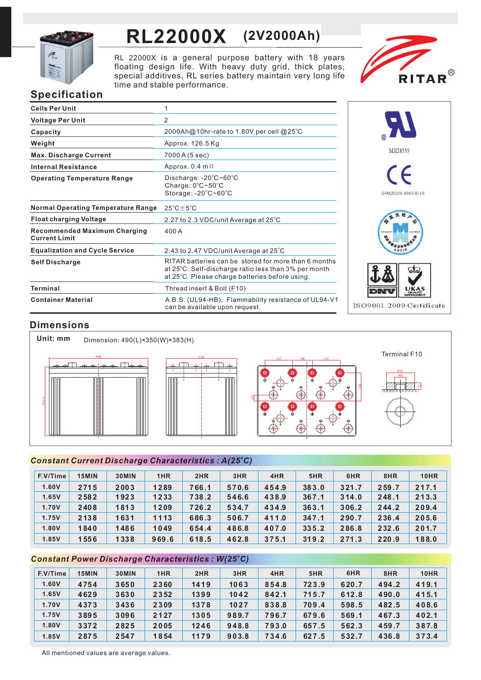

# **RL22000X (2V2000Ah)**

RL 22000X is a general purpose battery with 18 years floating design life. With heavy duty grid, thick plates, special additives, RL series battery maintain very long life time and stable performance.



# **Specification**

| <b>Cells Per Unit</b>                                       | 1                                                                                                                                                              |
|-------------------------------------------------------------|----------------------------------------------------------------------------------------------------------------------------------------------------------------|
| <b>Voltage Per Unit</b>                                     | $\overline{2}$                                                                                                                                                 |
| Capacity                                                    | 2000Ah@10hr-rate to 1.80V per cell @25°C                                                                                                                       |
| Weight                                                      | Approx. 126.5 Kg                                                                                                                                               |
| <b>Max. Discharge Current</b>                               | 7000 A (5 sec)                                                                                                                                                 |
| <b>Internal Resistance</b>                                  | Approx. $0.4$ m $\Omega$                                                                                                                                       |
| <b>Operating Temperature Range</b>                          | Discharge: $-20^{\circ}$ C $\sim$ 60 $^{\circ}$ C<br>Charge: $0^{\circ}$ C $\sim$ 50 $^{\circ}$ C<br>Storage: -20°C~60°C                                       |
| <b>Normal Operating Temperature Range</b>                   | $25^{\circ}$ C $\pm$ 5 $^{\circ}$ C                                                                                                                            |
| <b>Float charging Voltage</b>                               | 2.27 to 2.3 VDC/unit Average at 25°C                                                                                                                           |
| <b>Recommended Maximum Charging</b><br><b>Current Limit</b> | 400 A                                                                                                                                                          |
| <b>Equalization and Cycle Service</b>                       | 2.43 to 2.47 VDC/unit Average at 25°C                                                                                                                          |
| <b>Self Discharge</b>                                       | RITAR batteries can be stored for more than 6 months<br>at 25°C. Self-discharge ratio less than 3% per month<br>at 25°C. Please charge batteries before using. |
| Terminal                                                    | Thread insert & Bolt (F10)                                                                                                                                     |
| <b>Container Material</b>                                   | A.B.S. (UL94-HB), Flammability resistance of UL94-V1<br>can be available upon request.                                                                         |



# **Dimensions**



## *<sup>o</sup> Constant Current Discharge Characteristics : A(25 C)*

| F.V/Time | 15MIN | 30MIN | 1HR   | 2HR   | 3HR   | 4HR   | 5HR   | 6HR   | 8HR   | <b>10HR</b> |
|----------|-------|-------|-------|-------|-------|-------|-------|-------|-------|-------------|
| 1.60V    | 2715  | 2003  | 1289  | 766.1 | 570.6 | 454.9 | 383.0 | 321.7 | 259.7 | 217.1       |
| 1.65V    | 2582  | 1923  | 1233  | 738.2 | 546.6 | 438.9 | 367.1 | 314.0 | 248.1 | 213.3       |
| 1.70V    | 2408  | 1813  | 1209  | 726.2 | 534.7 | 434.9 | 363.1 | 306.2 | 244.2 | 209.4       |
| 1.75V    | 2138  | 1631  | 1113  | 686.3 | 506.7 | 411.0 | 347.1 | 290.7 | 236.4 | 205.6       |
| 1.80V    | 1840  | 1486  | 1049  | 654.4 | 486.8 | 407.0 | 335.2 | 286.8 | 232.6 | 201.7       |
| 1.85V    | 1556  | 1338  | 969.6 | 618.5 | 462.8 | 375.1 | 319.2 | 271.3 | 220.9 | 188.0       |

## *<sup>o</sup> Constant Power Discharge Characteristics : W(25 C)*

| F.V/Time | 15MIN | 30MIN | 1HR  | 2HR  | 3HR   | 4HR   | 5HR   | 6HR   | 8HR   | <b>10HR</b> |
|----------|-------|-------|------|------|-------|-------|-------|-------|-------|-------------|
| 1.60V    | 4754  | 3650  | 2360 | 1419 | 1063  | 854.8 | 723.9 | 620.7 | 494.2 | 419.1       |
| 1.65V    | 4629  | 3630  | 2352 | 1399 | 1042  | 842.1 | 715.7 | 612.8 | 490.0 | 415.1       |
| 1.70V    | 4373  | 3436  | 2309 | 1378 | 1027  | 838.8 | 709.4 | 598.5 | 482.5 | 408.6       |
| 1.75V    | 3895  | 3096  | 2127 | 1305 | 989.7 | 796.7 | 679.6 | 569.1 | 467.3 | 402.1       |
| 1.80V    | 3372  | 2825  | 2005 | 1246 | 948.8 | 793.0 | 657.5 | 562.3 | 459.7 | 387.8       |
| 1.85V    | 2875  | 2547  | 1854 | 1179 | 903.8 | 734.6 | 627.5 | 532.7 | 436.8 | 373.4       |

All mentioned values are average values.